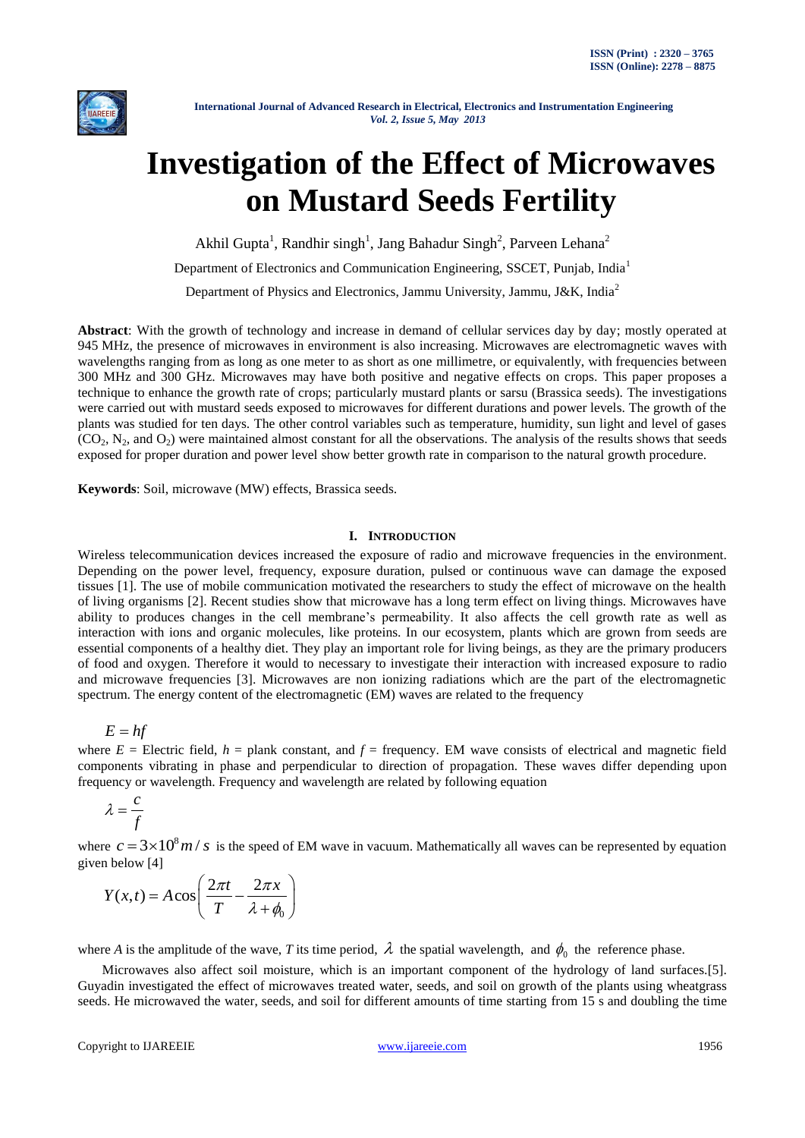

# **Investigation of the Effect of Microwaves on Mustard Seeds Fertility**

Akhil Gupta<sup>1</sup>, Randhir singh<sup>1</sup>, Jang Bahadur Singh<sup>2</sup>, Parveen Lehana<sup>2</sup>

Department of Electronics and Communication Engineering, SSCET, Punjab, India<sup>1</sup>

Department of Physics and Electronics, Jammu University, Jammu, J&K, India<sup>2</sup>

**Abstract**: With the growth of technology and increase in demand of cellular services day by day; mostly operated at 945 MHz, the presence of microwaves in environment is also increasing. Microwaves are electromagnetic waves with wavelengths ranging from as long as one meter to as short as one millimetre, or equivalently, with frequencies between 300 MHz and 300 GHz. Microwaves may have both positive and negative effects on crops. This paper proposes a technique to enhance the growth rate of crops; particularly mustard plants or sarsu (Brassica seeds). The investigations were carried out with mustard seeds exposed to microwaves for different durations and power levels. The growth of the plants was studied for ten days. The other control variables such as temperature, humidity, sun light and level of gases  $(CO_2, N_2, and O_2)$  were maintained almost constant for all the observations. The analysis of the results shows that seeds exposed for proper duration and power level show better growth rate in comparison to the natural growth procedure.

**Keywords**: Soil, microwave (MW) effects, Brassica seeds.

# **I. INTRODUCTION**

Wireless telecommunication devices increased the exposure of radio and microwave frequencies in the environment. Depending on the power level, frequency, exposure duration, pulsed or continuous wave can damage the exposed tissues [1]. The use of mobile communication motivated the researchers to study the effect of microwave on the health of living organisms [2]. Recent studies show that microwave has a long term effect on living things. Microwaves have ability to produces changes in the cell membrane's permeability. It also affects the cell growth rate as well as interaction with ions and organic molecules, like proteins. In our ecosystem, plants which are grown from seeds are essential components of a healthy diet. They play an important role for living beings, as they are the primary producers of food and oxygen. Therefore it would to necessary to investigate their interaction with increased exposure to radio and microwave frequencies [3]. Microwaves are non ionizing radiations which are the part of the electromagnetic spectrum. The energy content of the electromagnetic (EM) waves are related to the frequency

 $E = hf$ 

where  $E =$  Electric field,  $h =$  plank constant, and  $f =$  frequency. EM wave consists of electrical and magnetic field components vibrating in phase and perpendicular to direction of propagation. These waves differ depending upon frequency or wavelength. Frequency and wavelength are related by following equation

$$
\lambda = \frac{c}{f}
$$

where  $c = 3 \times 10^8 m / s$  is the speed of EM wave in vacuum. Mathematically all waves can be represented by equation given below [4]

$$
Y(x,t) = A\cos\left(\frac{2\pi t}{T} - \frac{2\pi x}{\lambda + \phi_0}\right)
$$

where *A* is the amplitude of the wave, *T* its time period,  $\lambda$  the spatial wavelength, and  $\phi_0$  the reference phase.

Microwaves also affect soil moisture, which is an important component of the hydrology of land surfaces.[5]. Guyadin investigated the effect of microwaves treated water, seeds, and soil on growth of the plants using wheatgrass seeds. He microwaved the water, seeds, and soil for different amounts of time starting from 15 s and doubling the time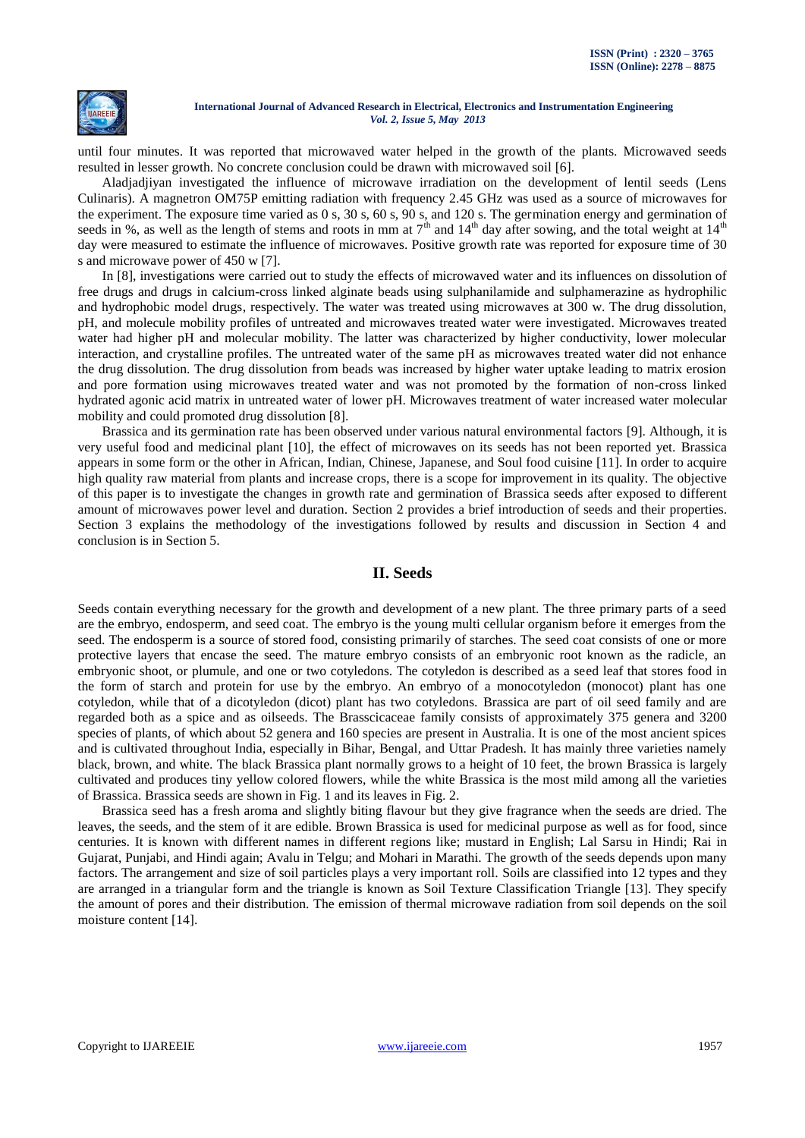

until four minutes. It was reported that microwaved water helped in the growth of the plants. Microwaved seeds resulted in lesser growth. No concrete conclusion could be drawn with microwaved soil [6].

Aladjadjiyan investigated the influence of microwave irradiation on the development of lentil seeds (Lens Culinaris). A magnetron OM75P emitting radiation with frequency 2.45 GHz was used as a source of microwaves for the experiment. The exposure time varied as 0 s, 30 s, 60 s, 90 s, and 120 s. The germination energy and germination of seeds in %, as well as the length of stems and roots in mm at  $7<sup>th</sup>$  and  $14<sup>th</sup>$  day after sowing, and the total weight at  $14<sup>th</sup>$ day were measured to estimate the influence of microwaves. Positive growth rate was reported for exposure time of 30 s and microwave power of 450 w [7].

In [8], investigations were carried out to study the effects of microwaved water and its influences on dissolution of free drugs and drugs in calcium-cross linked alginate beads using sulphanilamide and sulphamerazine as hydrophilic and hydrophobic model drugs, respectively. The water was treated using microwaves at 300 w. The drug dissolution, pH, and molecule mobility profiles of untreated and microwaves treated water were investigated. Microwaves treated water had higher pH and molecular mobility. The latter was characterized by higher conductivity, lower molecular interaction, and crystalline profiles. The untreated water of the same pH as microwaves treated water did not enhance the drug dissolution. The drug dissolution from beads was increased by higher water uptake leading to matrix erosion and pore formation using microwaves treated water and was not promoted by the formation of non-cross linked hydrated agonic acid matrix in untreated water of lower pH. Microwaves treatment of water increased water molecular mobility and could promoted drug dissolution [8].

Brassica and its germination rate has been observed under various natural environmental factors [9]. Although, it is very useful food and medicinal plant [10], the effect of microwaves on its seeds has not been reported yet. Brassica appears in some form or the other in African, Indian, Chinese, Japanese, and Soul food cuisine [11]. In order to acquire high quality raw material from plants and increase crops, there is a scope for improvement in its quality. The objective of this paper is to investigate the changes in growth rate and germination of Brassica seeds after exposed to different amount of microwaves power level and duration. Section 2 provides a brief introduction of seeds and their properties. Section 3 explains the methodology of the investigations followed by results and discussion in Section 4 and conclusion is in Section 5.

# **II. Seeds**

Seeds contain everything necessary for the growth and development of a new plant. The three primary parts of a seed are the embryo, endosperm, and seed coat. The embryo is the young multi cellular organism before it emerges from the seed. The endosperm is a source of stored food, consisting primarily of starches. The seed coat consists of one or more protective layers that encase the seed. The mature embryo consists of an embryonic root known as the radicle, an embryonic shoot, or plumule, and one or two cotyledons. The cotyledon is described as a seed leaf that stores food in the form of starch and protein for use by the embryo. An embryo of a monocotyledon (monocot) plant has one cotyledon, while that of a dicotyledon (dicot) plant has two cotyledons. Brassica are part of oil seed family and are regarded both as a spice and as oilseeds. The Brasscicaceae family consists of approximately 375 genera and 3200 species of plants, of which about 52 genera and 160 species are present in Australia. It is one of the most ancient spices and is cultivated throughout India, especially in Bihar, Bengal, and Uttar Pradesh. It has mainly three varieties namely black, brown, and white. The black Brassica plant normally grows to a height of 10 feet, the brown Brassica is largely cultivated and produces tiny yellow colored flowers, while the white Brassica is the most mild among all the varieties of Brassica. Brassica seeds are shown in Fig. 1 and its leaves in Fig. 2.

Brassica seed has a fresh aroma and slightly biting flavour but they give fragrance when the seeds are dried. The leaves, the seeds, and the stem of it are edible. Brown Brassica is used for medicinal purpose as well as for food, since centuries. It is known with different names in different regions like; mustard in English; Lal Sarsu in Hindi; Rai in Gujarat, Punjabi, and Hindi again; Avalu in Telgu; and Mohari in Marathi. The growth of the seeds depends upon many factors. The arrangement and size of soil particles plays a very important roll. Soils are classified into 12 types and they are arranged in a triangular form and the triangle is known as Soil Texture Classification Triangle [13]. They specify the amount of pores and their distribution. The emission of thermal microwave radiation from soil depends on the soil moisture content [14].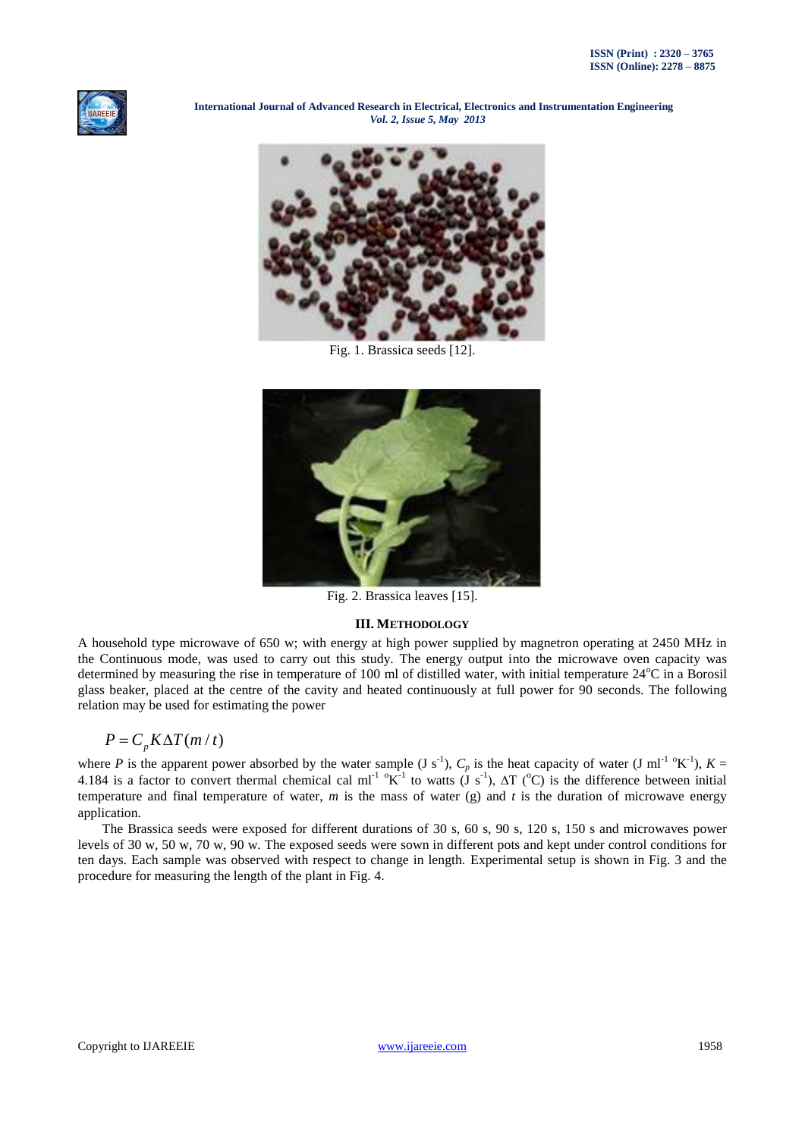



Fig. 1. Brassica seeds [12].



Fig. 2. Brassica leaves [15].

# **III. METHODOLOGY**

A household type microwave of 650 w; with energy at high power supplied by magnetron operating at 2450 MHz in the Continuous mode, was used to carry out this study. The energy output into the microwave oven capacity was determined by measuring the rise in temperature of 100 ml of distilled water, with initial temperature  $24^{\circ}$ C in a Borosil glass beaker, placed at the centre of the cavity and heated continuously at full power for 90 seconds. The following relation may be used for estimating the power

$$
P = C_p K \Delta T (m / t)
$$

where *P* is the apparent power absorbed by the water sample (J s<sup>-1</sup>),  $C_p$  is the heat capacity of water (J ml<sup>-1 o</sup>K<sup>-1</sup>),  $K =$ 4.184 is a factor to convert thermal chemical cal ml<sup>-1</sup> <sup>o</sup>K<sup>-1</sup> to watts  $(\dot{J} s^{-1})$ ,  $\Delta T$  (<sup>o</sup>C) is the difference between initial temperature and final temperature of water,  $m$  is the mass of water  $(g)$  and  $t$  is the duration of microwave energy application.

The Brassica seeds were exposed for different durations of 30 s, 60 s, 90 s, 120 s, 150 s and microwaves power levels of 30 w, 50 w, 70 w, 90 w. The exposed seeds were sown in different pots and kept under control conditions for ten days. Each sample was observed with respect to change in length. Experimental setup is shown in Fig. 3 and the procedure for measuring the length of the plant in Fig. 4.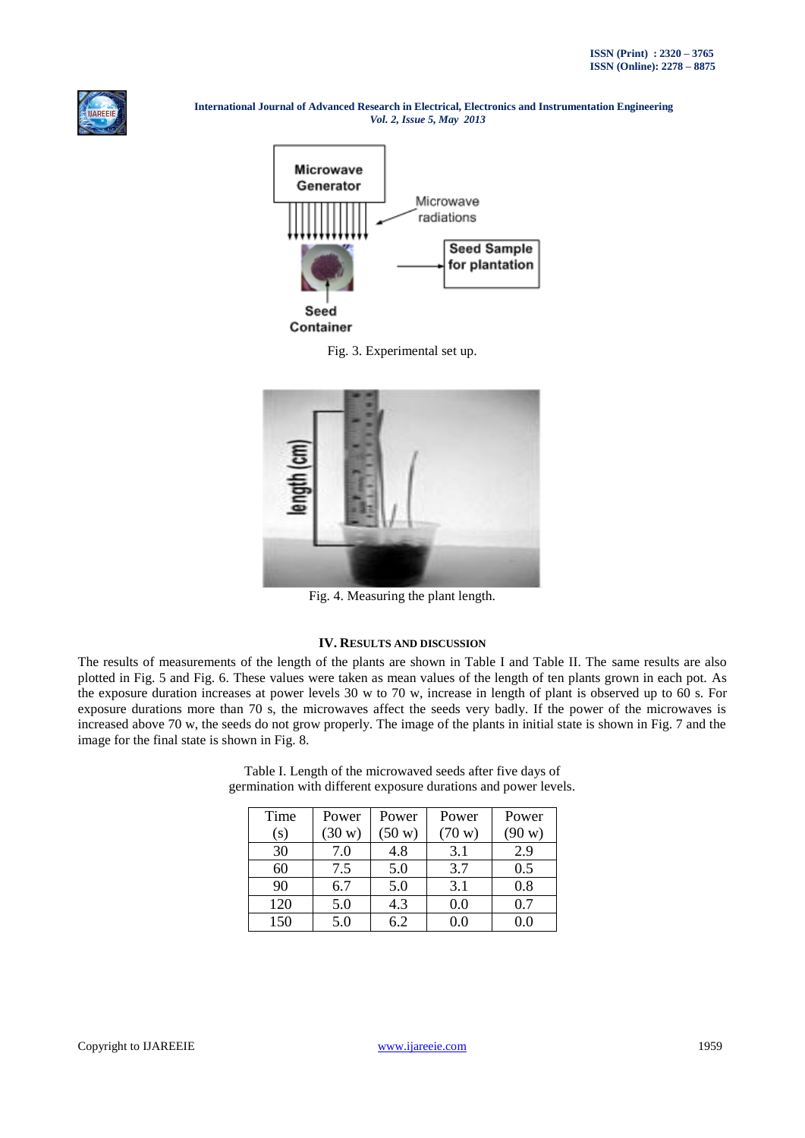







Fig. 4. Measuring the plant length.

#### **IV. RESULTS AND DISCUSSION**

The results of measurements of the length of the plants are shown in Table I and Table II. The same results are also plotted in Fig. 5 and Fig. 6. These values were taken as mean values of the length of ten plants grown in each pot. As the exposure duration increases at power levels 30 w to 70 w, increase in length of plant is observed up to 60 s. For exposure durations more than 70 s, the microwaves affect the seeds very badly. If the power of the microwaves is increased above 70 w, the seeds do not grow properly. The image of the plants in initial state is shown in Fig. 7 and the image for the final state is shown in Fig. 8.

| Time | Power            | Power            | Power            | Power  |
|------|------------------|------------------|------------------|--------|
| (s)  | $(30 \text{ w})$ | $(50 \text{ w})$ | $(70 \text{ w})$ | (90 w) |
| 30   | 7.0              | 4.8              | 3.1              | 2.9    |
| 60   | 7.5              | 5.0              | 3.7              | 0.5    |
| 90   | 6.7              | 5.0              | 3.1              | 0.8    |
| 120  | 5.0              | 4.3              | 0.0              | 0.7    |
| 150  | 5.0              | 6.2              | 0.0              |        |

Table I. Length of the microwaved seeds after five days of germination with different exposure durations and power levels.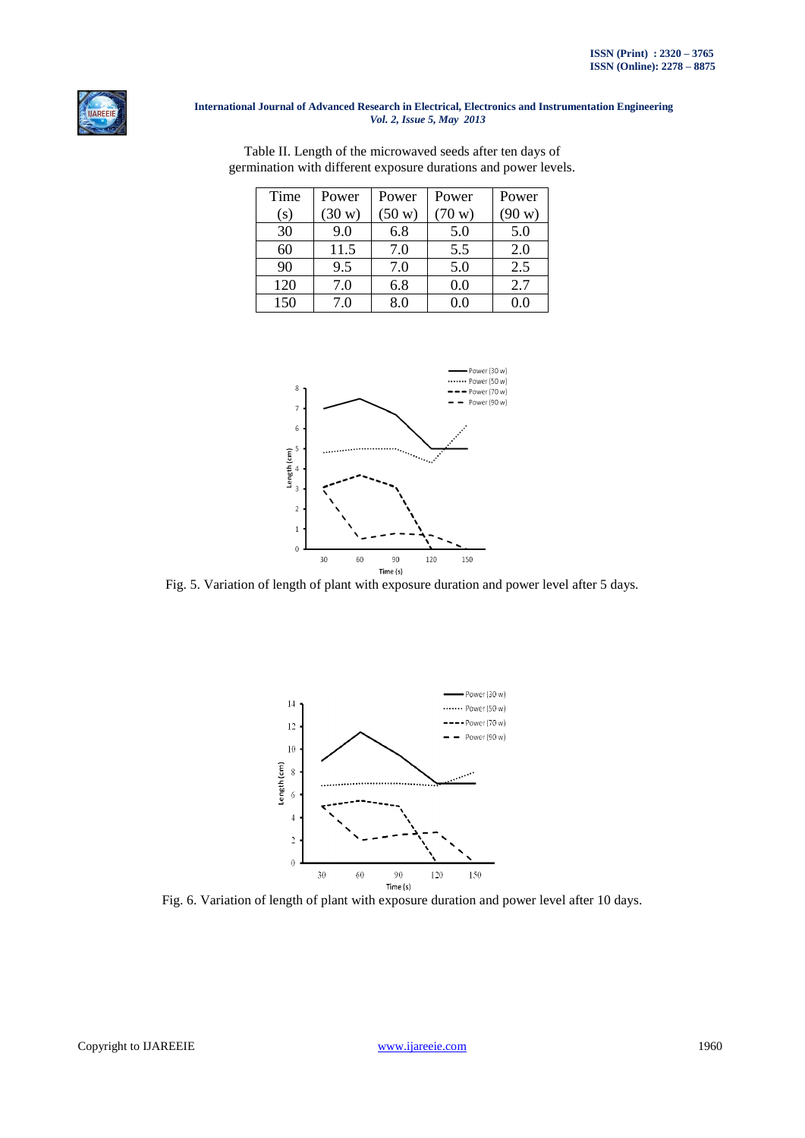

| Time | Power            | Power            | Power  | Power  |
|------|------------------|------------------|--------|--------|
| (s)  | $(30 \text{ w})$ | $(50 \text{ w})$ | (70 w) | (90 w) |
| 30   | 9.0              | 6.8              | 5.0    | 5.0    |
| 60   | 11.5             | 7.0              | 5.5    | 2.0    |
| 90   | 9.5              | 7.0              | 5.0    | 2.5    |
| 120  | 7.0              | 6.8              | 0.0    | 2.7    |
| 150  | 7.0              | 8.0              |        |        |

Table II. Length of the microwaved seeds after ten days of germination with different exposure durations and power levels.



Fig. 5. Variation of length of plant with exposure duration and power level after 5 days.



Fig. 6. Variation of length of plant with exposure duration and power level after 10 days.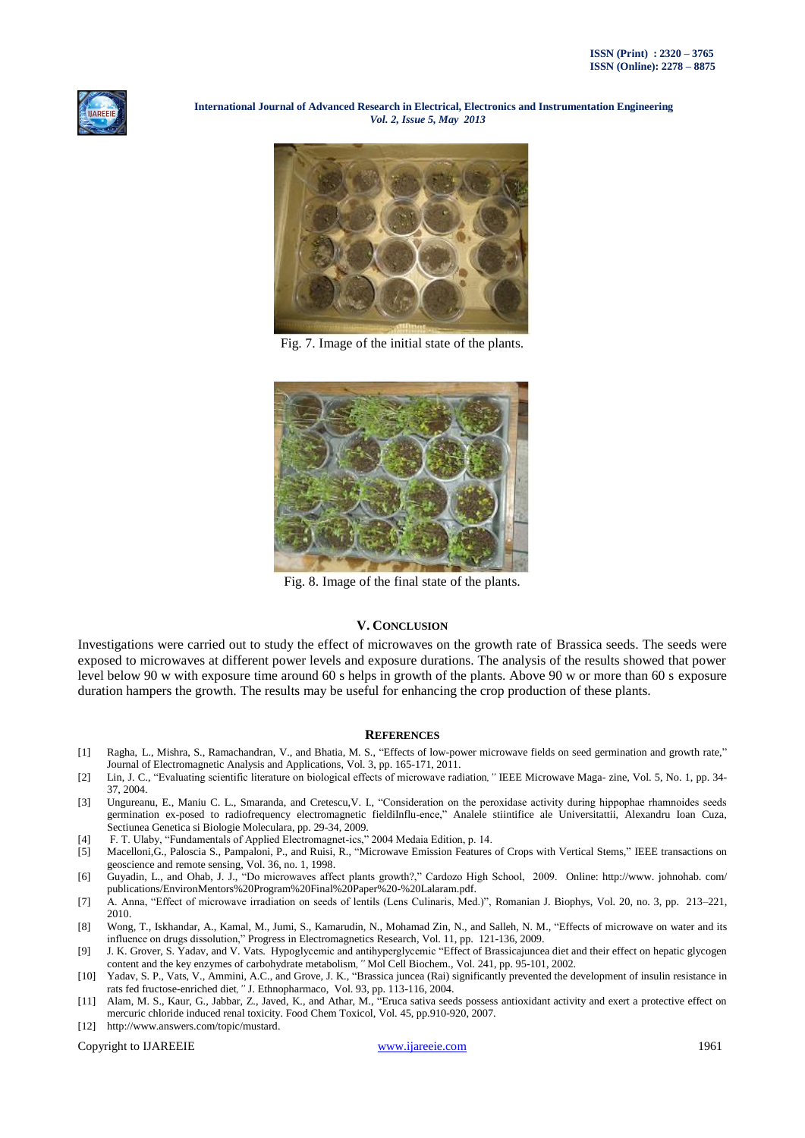



Fig. 7. Image of the initial state of the plants.



Fig. 8. Image of the final state of the plants.

# **V. CONCLUSION**

Investigations were carried out to study the effect of microwaves on the growth rate of Brassica seeds. The seeds were exposed to microwaves at different power levels and exposure durations. The analysis of the results showed that power level below 90 w with exposure time around 60 s helps in growth of the plants. Above 90 w or more than 60 s exposure duration hampers the growth. The results may be useful for enhancing the crop production of these plants.

#### **REFERENCES**

- [1] Ragha, L., Mishra, S., Ramachandran, V., and Bhatia, M. S., "Effects of low-power microwave fields on seed germination and growth rate," Journal of Electromagnetic Analysis and Applications, Vol. 3, pp. 165-171, 2011.
- [2] Lin, J. C., "Evaluating scientific literature on biological effects of microwave radiation*,"* IEEE Microwave Maga- zine, Vol. 5, No. 1, pp. 34- 37, 2004.
- [3] Ungureanu, E., Maniu C. L., Smaranda, and Cretescu,V. I., "Consideration on the peroxidase activity during hippophae rhamnoides seeds germination ex-posed to radiofrequency electromagnetic fieldiInflu-ence," Analele stiintifice ale Universitattii, Alexandru Ioan Cuza, Sectiunea Genetica si Biologie Moleculara, pp. 29-34, 2009.
- [4] F. T. Ulaby, "Fundamentals of Applied Electromagnet-ics," 2004 Medaia Edition, p. 14.
- [5] Macelloni,G., Paloscia S., Pampaloni, P., and Ruisi, R., "Microwave Emission Features of Crops with Vertical Stems," IEEE transactions on geoscience and remote sensing, Vol. 36, no. 1, 1998.
- [6] Guyadin, L., and Ohab, J. J., "Do microwaves affect plants growth?," Cardozo High School, 2009. Online: http://www. johnohab. com/ publications/EnvironMentors%20Program%20Final%20Paper%20-%20Lalaram.pdf.
- [7] A. Anna, "Effect of microwave irradiation on seeds of lentils (Lens Culinaris, Med.)", Romanian J. Biophys, Vol. 20, no. 3, pp. 213–221, 2010.
- [8] Wong, T., Iskhandar, A., Kamal, M., Jumi, S., Kamarudin, N., Mohamad Zin, N., and Salleh, N. M., "Effects of microwave on water and its influence on drugs dissolution," Progress in Electromagnetics Research*,* Vol. 11, pp. 121-136, 2009.
- [9] J. K. Grover, S. Yadav, and V. Vats. Hypoglycemic and antihyperglycemic "Effect of Brassicajuncea diet and their effect on hepatic glycogen content and the key enzymes of carbohydrate metabolism*,"* Mol Cell Biochem., Vol. 241, pp. 95-101, 2002.
- [10] Yadav, S. P., Vats, V., Ammini, A.C., and Grove, J. K., "Brassica juncea (Rai) significantly prevented the development of insulin resistance in rats fed fructose-enriched diet*,"* J. Ethnopharmaco, Vol. 93, pp. 113-116, 2004.
- [11] Alam, M. S., Kaur, G., Jabbar, Z., Javed, K., and Athar, M., "Eruca sativa seeds possess antioxidant activity and exert a protective effect on mercuric chloride induced renal toxicity. Food Chem Toxicol, Vol. 45, pp.910-920, 2007.
- [12] http://www.answers.com/topic/mustard.

Copyright to IJAREEIE [www.ijareeie.com](http://www.ijareeie.com/) 1961